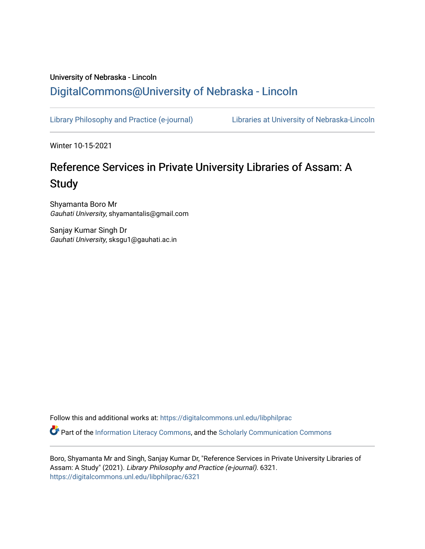# University of Nebraska - Lincoln [DigitalCommons@University of Nebraska - Lincoln](https://digitalcommons.unl.edu/)

[Library Philosophy and Practice \(e-journal\)](https://digitalcommons.unl.edu/libphilprac) [Libraries at University of Nebraska-Lincoln](https://digitalcommons.unl.edu/libraries) 

Winter 10-15-2021

# Reference Services in Private University Libraries of Assam: A **Study**

Shyamanta Boro Mr Gauhati University, shyamantalis@gmail.com

Sanjay Kumar Singh Dr Gauhati University, sksgu1@gauhati.ac.in

Follow this and additional works at: [https://digitalcommons.unl.edu/libphilprac](https://digitalcommons.unl.edu/libphilprac?utm_source=digitalcommons.unl.edu%2Flibphilprac%2F6321&utm_medium=PDF&utm_campaign=PDFCoverPages) 

**P** Part of the [Information Literacy Commons](http://network.bepress.com/hgg/discipline/1243?utm_source=digitalcommons.unl.edu%2Flibphilprac%2F6321&utm_medium=PDF&utm_campaign=PDFCoverPages), and the Scholarly Communication Commons

Boro, Shyamanta Mr and Singh, Sanjay Kumar Dr, "Reference Services in Private University Libraries of Assam: A Study" (2021). Library Philosophy and Practice (e-journal). 6321. [https://digitalcommons.unl.edu/libphilprac/6321](https://digitalcommons.unl.edu/libphilprac/6321?utm_source=digitalcommons.unl.edu%2Flibphilprac%2F6321&utm_medium=PDF&utm_campaign=PDFCoverPages)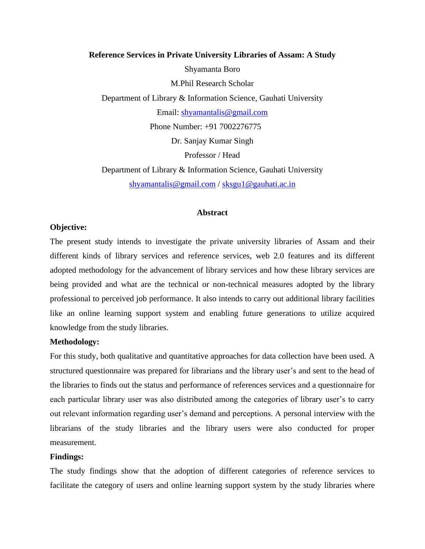# **Reference Services in Private University Libraries of Assam: A Study** Shyamanta Boro M.Phil Research Scholar Department of Library & Information Science, Gauhati University Email: [shyamantalis@gmail.com](mailto:shyamantalis@gmail.com) Phone Number: +91 7002276775 Dr. Sanjay Kumar Singh Professor / Head Department of Library & Information Science, Gauhati University [shyamantalis@gmail.com](mailto:shyamantalis@gmail.com) / [sksgu1@gauhati.ac.in](mailto:sksgu1@gauhati.ac.in)

#### **Abstract**

#### **Objective:**

The present study intends to investigate the private university libraries of Assam and their different kinds of library services and reference services, web 2.0 features and its different adopted methodology for the advancement of library services and how these library services are being provided and what are the technical or non-technical measures adopted by the library professional to perceived job performance. It also intends to carry out additional library facilities like an online learning support system and enabling future generations to utilize acquired knowledge from the study libraries.

#### **Methodology:**

For this study, both qualitative and quantitative approaches for data collection have been used. A structured questionnaire was prepared for librarians and the library user's and sent to the head of the libraries to finds out the status and performance of references services and a questionnaire for each particular library user was also distributed among the categories of library user's to carry out relevant information regarding user's demand and perceptions. A personal interview with the librarians of the study libraries and the library users were also conducted for proper measurement.

#### **Findings:**

The study findings show that the adoption of different categories of reference services to facilitate the category of users and online learning support system by the study libraries where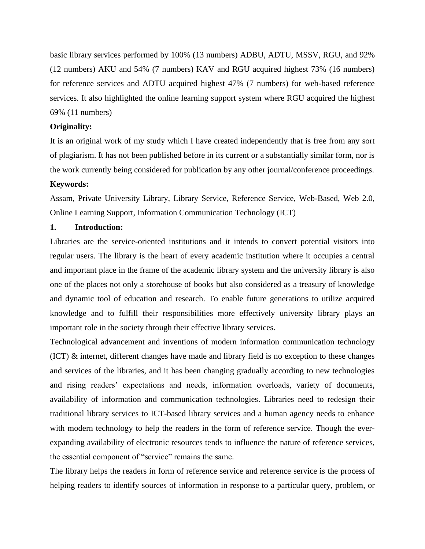basic library services performed by 100% (13 numbers) ADBU, ADTU, MSSV, RGU, and 92% (12 numbers) AKU and 54% (7 numbers) KAV and RGU acquired highest 73% (16 numbers) for reference services and ADTU acquired highest 47% (7 numbers) for web-based reference services. It also highlighted the online learning support system where RGU acquired the highest 69% (11 numbers)

# **Originality:**

It is an original work of my study which I have created independently that is free from any sort of plagiarism. It has not been published before in its current or a substantially similar form, nor is the work currently being considered for publication by any other journal/conference proceedings. **Keywords:**

# Assam, Private University Library, Library Service, Reference Service, Web-Based, Web 2.0, Online Learning Support, Information Communication Technology (ICT)

#### **1. Introduction:**

Libraries are the service-oriented institutions and it intends to convert potential visitors into regular users. The library is the heart of every academic institution where it occupies a central and important place in the frame of the academic library system and the university library is also one of the places not only a storehouse of books but also considered as a treasury of knowledge and dynamic tool of education and research. To enable future generations to utilize acquired knowledge and to fulfill their responsibilities more effectively university library plays an important role in the society through their effective library services.

Technological advancement and inventions of modern information communication technology (ICT) & internet, different changes have made and library field is no exception to these changes and services of the libraries, and it has been changing gradually according to new technologies and rising readers' expectations and needs, information overloads, variety of documents, availability of information and communication technologies. Libraries need to redesign their traditional library services to ICT-based library services and a human agency needs to enhance with modern technology to help the readers in the form of reference service. Though the everexpanding availability of electronic resources tends to influence the nature of reference services, the essential component of "service" remains the same.

The library helps the readers in form of reference service and reference service is the process of helping readers to identify sources of information in response to a particular query, problem, or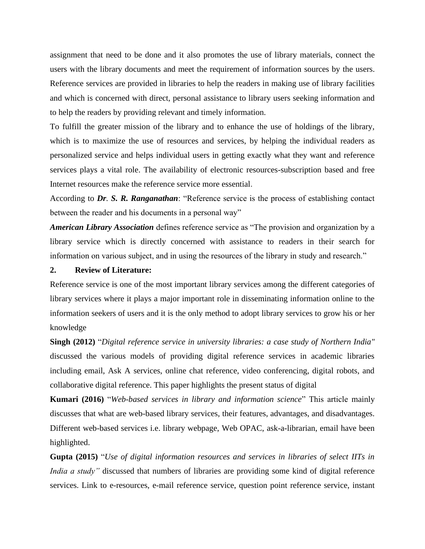assignment that need to be done and it also promotes the use of library materials, connect the users with the library documents and meet the requirement of information sources by the users. Reference services are provided in libraries to help the readers in making use of library facilities and which is concerned with direct, personal assistance to library users seeking information and to help the readers by providing relevant and timely information.

To fulfill the greater mission of the library and to enhance the use of holdings of the library, which is to maximize the use of resources and services, by helping the individual readers as personalized service and helps individual users in getting exactly what they want and reference services plays a vital role. The availability of electronic resources-subscription based and free Internet resources make the reference service more essential.

According to *Dr. S. R. Ranganathan*: "Reference service is the process of establishing contact between the reader and his documents in a personal way"

*American Library Association* defines reference service as "The provision and organization by a library service which is directly concerned with assistance to readers in their search for information on various subject, and in using the resources of the library in study and research."

#### **2. Review of Literature:**

Reference service is one of the most important library services among the different categories of library services where it plays a major important role in disseminating information online to the information seekers of users and it is the only method to adopt library services to grow his or her knowledge

**Singh (2012)** "*Digital reference service in university libraries: a case study of Northern India"* discussed the various models of providing digital reference services in academic libraries including email, Ask A services, online chat reference, video conferencing, digital robots, and collaborative digital reference. This paper highlights the present status of digital

**Kumari (2016)** "*Web-based services in library and information science*" This article mainly discusses that what are web-based library services, their features, advantages, and disadvantages. Different web-based services i.e. library webpage, Web OPAC, ask-a-librarian, email have been highlighted.

**Gupta (2015)** "*Use of digital information resources and services in libraries of select IITs in India a study*" discussed that numbers of libraries are providing some kind of digital reference services. Link to e-resources, e-mail reference service, question point reference service, instant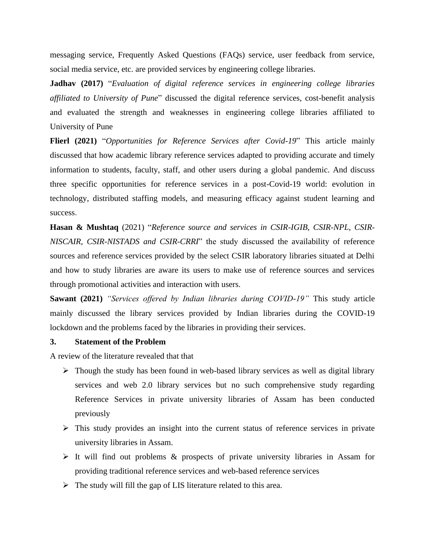messaging service, Frequently Asked Questions (FAQs) service, user feedback from service, social media service, etc. are provided services by engineering college libraries.

**Jadhav (2017)** "*Evaluation of digital reference services in engineering college libraries affiliated to University of Pune*" discussed the digital reference services, cost-benefit analysis and evaluated the strength and weaknesses in engineering college libraries affiliated to University of Pune

**Flierl (2021)** "*Opportunities for Reference Services after Covid-19*" This article mainly discussed that how academic library reference services adapted to providing accurate and timely information to students, faculty, staff, and other users during a global pandemic. And discuss three specific opportunities for reference services in a post-Covid-19 world: evolution in technology, distributed staffing models, and measuring efficacy against student learning and success.

**Hasan & Mushtaq** (2021) "*Reference source and services in CSIR-IGIB, CSIR-NPL, CSIR-NISCAIR, CSIR-NISTADS and CSIR-CRRI*" the study discussed the availability of reference sources and reference services provided by the select CSIR laboratory libraries situated at Delhi and how to study libraries are aware its users to make use of reference sources and services through promotional activities and interaction with users.

**Sawant (2021)** *"Services offered by Indian libraries during COVID-19"* This study article mainly discussed the library services provided by Indian libraries during the COVID-19 lockdown and the problems faced by the libraries in providing their services.

# **3. Statement of the Problem**

A review of the literature revealed that that

- $\triangleright$  Though the study has been found in web-based library services as well as digital library services and web 2.0 library services but no such comprehensive study regarding Reference Services in private university libraries of Assam has been conducted previously
- $\triangleright$  This study provides an insight into the current status of reference services in private university libraries in Assam.
- $\triangleright$  It will find out problems & prospects of private university libraries in Assam for providing traditional reference services and web-based reference services
- $\triangleright$  The study will fill the gap of LIS literature related to this area.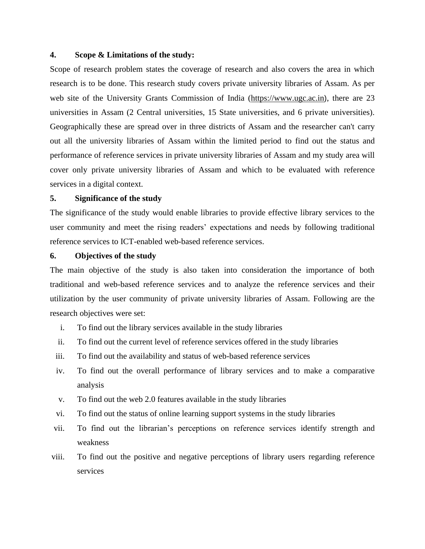#### **4. Scope & Limitations of the study:**

Scope of research problem states the coverage of research and also covers the area in which research is to be done. This research study covers private university libraries of Assam. As per web site of the University Grants Commission of India [\(https://www.ugc.ac.in](https://www.ugc.ac.in/)), there are 23 universities in Assam (2 Central universities, 15 State universities, and 6 private universities). Geographically these are spread over in three districts of Assam and the researcher can't carry out all the university libraries of Assam within the limited period to find out the status and performance of reference services in private university libraries of Assam and my study area will cover only private university libraries of Assam and which to be evaluated with reference services in a digital context.

#### **5. Significance of the study**

The significance of the study would enable libraries to provide effective library services to the user community and meet the rising readers' expectations and needs by following traditional reference services to ICT-enabled web-based reference services.

#### **6. Objectives of the study**

The main objective of the study is also taken into consideration the importance of both traditional and web-based reference services and to analyze the reference services and their utilization by the user community of private university libraries of Assam. Following are the research objectives were set:

- i. To find out the library services available in the study libraries
- ii. To find out the current level of reference services offered in the study libraries
- iii. To find out the availability and status of web-based reference services
- iv. To find out the overall performance of library services and to make a comparative analysis
- v. To find out the web 2.0 features available in the study libraries
- vi. To find out the status of online learning support systems in the study libraries
- vii. To find out the librarian's perceptions on reference services identify strength and weakness
- viii. To find out the positive and negative perceptions of library users regarding reference services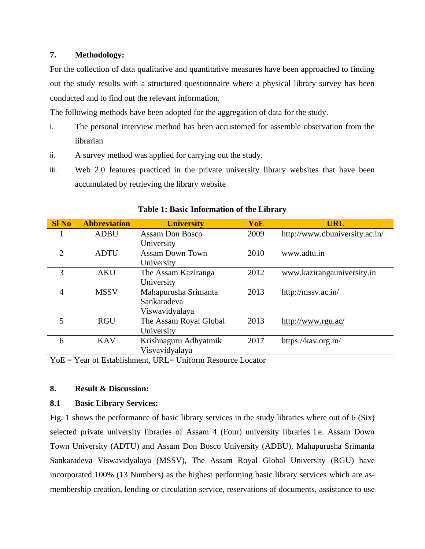# **7. Methodology:**

For the collection of data qualitative and quantitative measures have been approached to finding out the study results with a structured questionnaire where a physical library survey has been conducted and to find out the relevant information.

The following methods have been adopted for the aggregation of data for the study.

- i. The personal interview method has been accustomed for assemble observation from the librarian
- ii. A survey method was applied for carrying out the study.
- iii. Web 2.0 features practiced in the private university library websites that have been accumulated by retrieving the library website

| <b>SI No</b>   | <b>Abbreviation</b> | <b>University</b>      | YoE  | <b>URL</b>                     |
|----------------|---------------------|------------------------|------|--------------------------------|
|                | <b>ADBU</b>         | <b>Assam Don Bosco</b> | 2009 | http://www.dbuniversity.ac.in/ |
|                |                     | University             |      |                                |
| $\overline{2}$ | <b>ADTU</b>         | <b>Assam Down Town</b> | 2010 | www.adtu.in                    |
|                |                     | University             |      |                                |
| 3              | <b>AKU</b>          | The Assam Kaziranga    | 2012 | www.kazirangauniversity.in     |
|                |                     | University             |      |                                |
| $\overline{4}$ | <b>MSSV</b>         | Mahapurusha Srimanta   | 2013 | http://mssv.ac.in/             |
|                |                     | Sankaradeva            |      |                                |
|                |                     | Viswavidyalaya         |      |                                |
| 5              | <b>RGU</b>          | The Assam Royal Global | 2013 | http://www.rgu.ac/             |
|                |                     | University             |      |                                |
| 6              | <b>KAV</b>          | Krishnaguru Adhyatmik  | 2017 | https://kav.org.in/            |
|                |                     | Visvavidyalaya         |      |                                |

# **Table 1: Basic Information of the Library**

YoE = Year of Establishment, URL= Uniform Resource Locator

# **8. Result & Discussion:**

# **8.1 Basic Library Services:**

Fig. 1 shows the performance of basic library services in the study libraries where out of 6 (Six) selected private university libraries of Assam 4 (Four) university libraries i.e. Assam Down Town University (ADTU) and Assam Don Bosco University (ADBU), Mahapurusha Srimanta Sankaradeva Viswavidyalaya (MSSV), The Assam Royal Global University (RGU) have incorporated 100% (13 Numbers) as the highest performing basic library services which are asmembership creation, lending or circulation service, reservations of documents, assistance to use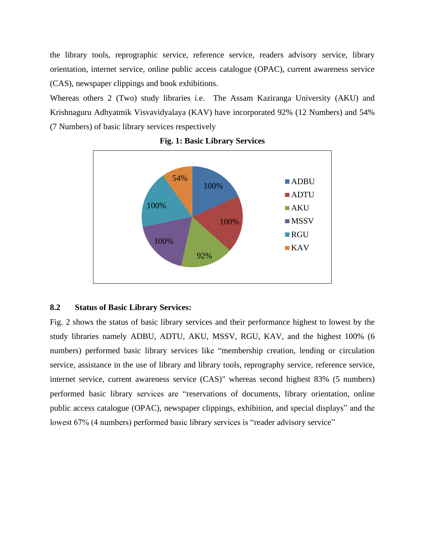the library tools, reprographic service, reference service, readers advisory service, library orientation, internet service, online public access catalogue (OPAC), current awareness service (CAS), newspaper clippings and book exhibitions.

Whereas others 2 (Two) study libraries i.e. The Assam Kaziranga University (AKU) and Krishnaguru Adhyatmik Visvavidyalaya (KAV) have incorporated 92% (12 Numbers) and 54% (7 Numbers) of basic library services respectively



**Fig. 1: Basic Library Services**

#### **8.2 Status of Basic Library Services:**

Fig. 2 shows the status of basic library services and their performance highest to lowest by the study libraries namely ADBU, ADTU, AKU, MSSV, RGU, KAV, and the highest 100% (6 numbers) performed basic library services like "membership creation, lending or circulation service, assistance in the use of library and library tools, reprography service, reference service, internet service, current awareness service (CAS)" whereas second highest 83% (5 numbers) performed basic library services are "reservations of documents, library orientation, online public access catalogue (OPAC), newspaper clippings, exhibition, and special displays" and the lowest 67% (4 numbers) performed basic library services is "reader advisory service"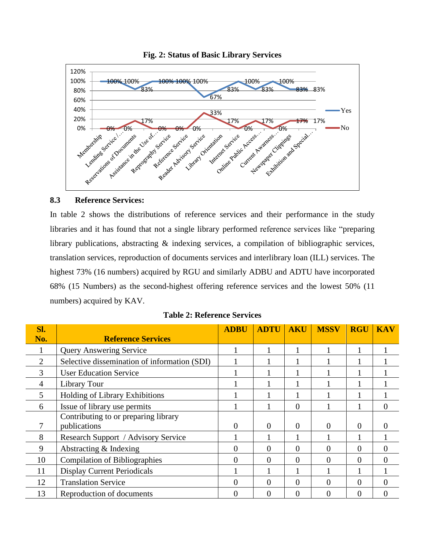

**Fig. 2: Status of Basic Library Services**

#### **8.3 Reference Services:**

In table 2 shows the distributions of reference services and their performance in the study libraries and it has found that not a single library performed reference services like "preparing library publications, abstracting & indexing services, a compilation of bibliographic services, translation services, reproduction of documents services and interlibrary loan (ILL) services. The highest 73% (16 numbers) acquired by RGU and similarly ADBU and ADTU have incorporated 68% (15 Numbers) as the second-highest offering reference services and the lowest 50% (11 numbers) acquired by KAV.

| Sl.            |                                              | <b>ADBU</b> | <b>ADTU</b> | <b>AKU</b> | <b>MSSV</b> | <b>RGU</b> | <b>KAV</b> |
|----------------|----------------------------------------------|-------------|-------------|------------|-------------|------------|------------|
| No.            | <b>Reference Services</b>                    |             |             |            |             |            |            |
| $\mathbf{I}$   | <b>Query Answering Service</b>               |             |             |            |             |            |            |
| $\overline{2}$ | Selective dissemination of information (SDI) |             |             |            |             |            |            |
| 3              | <b>User Education Service</b>                |             |             |            |             |            |            |
| 4              | Library Tour                                 |             |             |            |             |            |            |
| 5              | Holding of Library Exhibitions               |             |             |            |             |            |            |
| 6              | Issue of library use permits                 |             |             | 0          |             |            | 0          |
|                | Contributing to or preparing library         |             |             |            |             |            |            |
|                | publications                                 | 0           | $\theta$    | $\theta$   | 0           | $\theta$   | O          |
| 8              | Research Support / Advisory Service          |             |             |            |             |            |            |
| 9              | Abstracting $&$ Indexing                     | 0           | $\Omega$    | $\Omega$   | 0           | 0          | $\theta$   |
| 10             | <b>Compilation of Bibliographies</b>         | 0           | $\theta$    | $\theta$   | 0           | $\Omega$   | $\Omega$   |
| 11             | <b>Display Current Periodicals</b>           |             |             |            |             |            |            |
| 12             | <b>Translation Service</b>                   | 0           | $\Omega$    | $\Omega$   | $\theta$    | $\Omega$   | $\theta$   |
| 13             | Reproduction of documents                    | 0           | $\Omega$    | $\Omega$   | 0           | 0          | 0          |

**Table 2: Reference Services**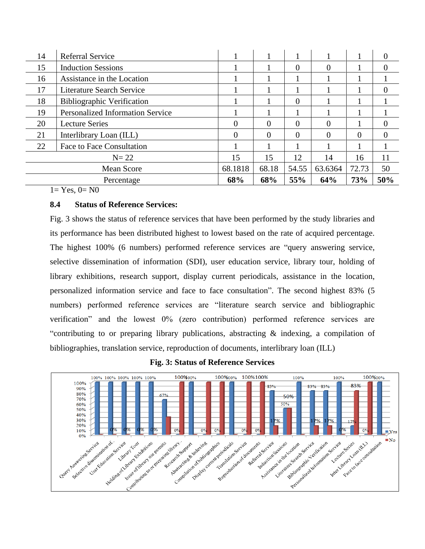| 14                | <b>Referral Service</b>                 |          |          |          |          |          | 0        |
|-------------------|-----------------------------------------|----------|----------|----------|----------|----------|----------|
| 15                | <b>Induction Sessions</b>               |          |          | $\Omega$ | $\left($ |          | 0        |
| 16                | Assistance in the Location              |          |          |          |          |          |          |
| 17                | <b>Literature Search Service</b>        |          |          |          |          |          | $\theta$ |
| 18                | <b>Bibliographic Verification</b>       |          |          | $\Omega$ |          |          |          |
| 19                | <b>Personalized Information Service</b> |          |          |          |          |          |          |
| 20                | <b>Lecture Series</b>                   | 0        | $\Omega$ | $\theta$ | $\theta$ |          | 0        |
| 21                | Interlibrary Loan (ILL)                 | $\theta$ | $\Omega$ | $\Omega$ | $\left($ | $\Omega$ | 0        |
| 22                | Face to Face Consultation               |          |          |          |          |          |          |
| $N=22$            |                                         | 15       | 15       | 12       | 14       | 16       | 11       |
| <b>Mean Score</b> |                                         | 68.1818  | 68.18    | 54.55    | 63.6364  | 72.73    | 50       |
| Percentage        |                                         | 68%      | 68%      | 55%      | 64%      | 73%      | 50%      |

 $1=$  Yes,  $0=$  N $0$ 

# **8.4 Status of Reference Services:**

Fig. 3 shows the status of reference services that have been performed by the study libraries and its performance has been distributed highest to lowest based on the rate of acquired percentage. The highest 100% (6 numbers) performed reference services are "query answering service, selective dissemination of information (SDI), user education service, library tour, holding of library exhibitions, research support, display current periodicals, assistance in the location, personalized information service and face to face consultation". The second highest 83% (5 numbers) performed reference services are "literature search service and bibliographic verification" and the lowest 0% (zero contribution) performed reference services are "contributing to or preparing library publications, abstracting & indexing, a compilation of bibliographies, translation service, reproduction of documents, interlibrary loan (ILL)



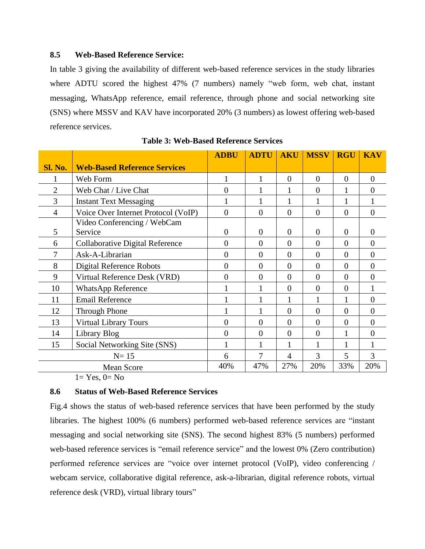# **8.5 Web-Based Reference Service:**

In table 3 giving the availability of different web-based reference services in the study libraries where ADTU scored the highest 47% (7 numbers) namely "web form, web chat, instant messaging, WhatsApp reference, email reference, through phone and social networking site (SNS) where MSSV and KAV have incorporated 20% (3 numbers) as lowest offering web-based reference services.

|                |                                        | <b>ADBU</b>    | <b>ADTU</b>    | <b>AKU</b>     | <b>MSSV</b>    | <b>RGU</b>       | <b>KAV</b>     |
|----------------|----------------------------------------|----------------|----------------|----------------|----------------|------------------|----------------|
| <b>Sl. No.</b> | <b>Web-Based Reference Services</b>    |                |                |                |                |                  |                |
|                | Web Form                               | 1              | 1              | $\overline{0}$ | $\overline{0}$ | $\boldsymbol{0}$ | $\overline{0}$ |
| $\overline{2}$ | Web Chat / Live Chat                   | $\overline{0}$ |                | 1              | $\overline{0}$ |                  | $\overline{0}$ |
| 3              | <b>Instant Text Messaging</b>          |                |                |                |                |                  |                |
| $\overline{4}$ | Voice Over Internet Protocol (VoIP)    | $\overline{0}$ | $\theta$       | $\overline{0}$ | $\theta$       | $\overline{0}$   | $\overline{0}$ |
|                | Video Conferencing / WebCam            |                |                |                |                |                  |                |
| 5              | Service                                | $\theta$       | $\theta$       | $\overline{0}$ | $\theta$       | $\overline{0}$   | $\theta$       |
| 6              | <b>Collaborative Digital Reference</b> | $\overline{0}$ | $\theta$       | $\overline{0}$ | $\theta$       | $\overline{0}$   | $\overline{0}$ |
|                | Ask-A-Librarian                        | $\overline{0}$ | $\overline{0}$ | $\theta$       | $\overline{0}$ | $\overline{0}$   | $\overline{0}$ |
| 8              | Digital Reference Robots               | $\theta$       | $\theta$       | $\overline{0}$ | $\overline{0}$ | $\Omega$         | $\overline{0}$ |
| 9              | Virtual Reference Desk (VRD)           | $\theta$       | $\theta$       | $\Omega$       | $\theta$       | $\theta$         | $\theta$       |
| 10             | <b>WhatsApp Reference</b>              |                | $\mathbf{1}$   | $\overline{0}$ | $\theta$       | $\overline{0}$   | 1              |
| 11             | <b>Email Reference</b>                 |                |                |                |                |                  | $\overline{0}$ |
| 12             | <b>Through Phone</b>                   |                |                | $\overline{0}$ | $\overline{0}$ | $\overline{0}$   | $\overline{0}$ |
| 13             | <b>Virtual Library Tours</b>           | $\overline{0}$ | $\theta$       | $\overline{0}$ | $\theta$       | $\overline{0}$   | $\overline{0}$ |
| 14             | Library Blog                           | $\overline{0}$ | $\overline{0}$ | $\theta$       | $\overline{0}$ |                  | $\overline{0}$ |
| 15             | Social Networking Site (SNS)           | $\mathbf{1}$   |                | 1              | 1              |                  | 1              |
| $N=15$         |                                        | 6              | 7              | 4              | 3              | 5                | 3              |
|                | <b>Mean Score</b>                      | 40%            | 47%            | 27%            | 20%            | 33%              | 20%            |

**Table 3: Web-Based Reference Services**

 $1=$  Yes,  $0=$  No

# **8.6 Status of Web-Based Reference Services**

Fig.4 shows the status of web-based reference services that have been performed by the study libraries. The highest 100% (6 numbers) performed web-based reference services are "instant messaging and social networking site (SNS). The second highest 83% (5 numbers) performed web-based reference services is "email reference service" and the lowest 0% (Zero contribution) performed reference services are "voice over internet protocol (VoIP), video conferencing / webcam service, collaborative digital reference, ask-a-librarian, digital reference robots, virtual reference desk (VRD), virtual library tours"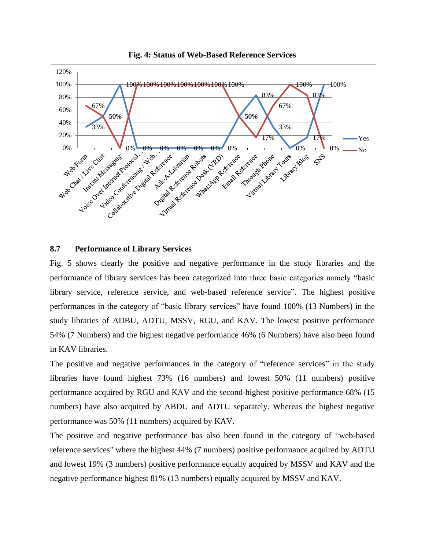

**Fig. 4: Status of Web-Based Reference Services**

#### **8.7 Performance of Library Services**

Fig. 5 shows clearly the positive and negative performance in the study libraries and the performance of library services has been categorized into three basic categories namely "basic library service, reference service, and web-based reference service". The highest positive performances in the category of "basic library services" have found 100% (13 Numbers) in the study libraries of ADBU, ADTU, MSSV, RGU, and KAV. The lowest positive performance 54% (7 Numbers) and the highest negative performance 46% (6 Numbers) have also been found in KAV libraries.

The positive and negative performances in the category of "reference services" in the study libraries have found highest 73% (16 numbers) and lowest 50% (11 numbers) positive performance acquired by RGU and KAV and the second-highest positive performance 68% (15 numbers) have also acquired by ABDU and ADTU separately. Whereas the highest negative performance was 50% (11 numbers) acquired by KAV.

The positive and negative performance has also been found in the category of "web-based reference services" where the highest 44% (7 numbers) positive performance acquired by ADTU and lowest 19% (3 numbers) positive performance equally acquired by MSSV and KAV and the negative performance highest 81% (13 numbers) equally acquired by MSSV and KAV.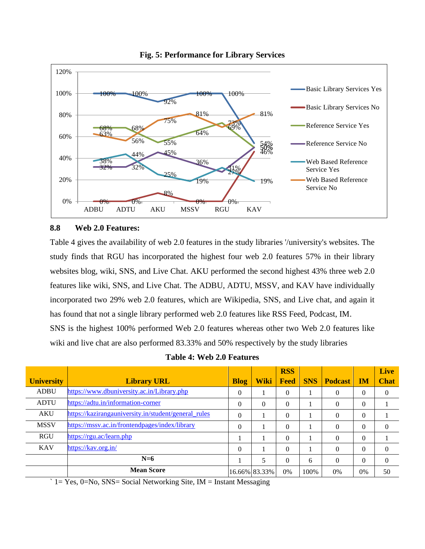

**Fig. 5: Performance for Library Services**

# **8.8 Web 2.0 Features:**

Table 4 gives the availability of web 2.0 features in the study libraries '/university's websites. The study finds that RGU has incorporated the highest four web 2.0 features 57% in their library websites blog, wiki, SNS, and Live Chat. AKU performed the second highest 43% three web 2.0 features like wiki, SNS, and Live Chat. The ADBU, ADTU, MSSV, and KAV have individually incorporated two 29% web 2.0 features, which are Wikipedia, SNS, and Live chat, and again it has found that not a single library performed web 2.0 features like RSS Feed, Podcast, IM. SNS is the highest 100% performed Web 2.0 features whereas other two Web 2.0 features like wiki and live chat are also performed 83.33% and 50% respectively by the study libraries

**Table 4: Web 2.0 Features**

|                   |                                                      |             |               | <b>RSS</b> |            |                |           | Live        |
|-------------------|------------------------------------------------------|-------------|---------------|------------|------------|----------------|-----------|-------------|
| <b>University</b> | <b>Library URL</b>                                   | <b>Blog</b> | <b>Wiki</b>   | Feed       | <b>SNS</b> | <b>Podcast</b> | <b>IM</b> | <b>Chat</b> |
| <b>ADBU</b>       | https://www.dbuniversity.ac.in/Library.php           | $\Omega$    |               | $\Omega$   |            | $\Omega$       | $\Omega$  | $\Omega$    |
| <b>ADTU</b>       | https://adtu.in/information-corner                   | $\Omega$    | $\Omega$      | $\Omega$   |            | $\Omega$       | $\Omega$  |             |
| <b>AKU</b>        | https://kazirangauniversity.in/student/general_rules | $\Omega$    |               | $\Omega$   |            | $\Omega$       | $\Omega$  |             |
| <b>MSSV</b>       | https://mssv.ac.in/frontendpages/index/library       | $\theta$    |               | $\Omega$   |            | $\Omega$       | $\Omega$  | $\Omega$    |
| <b>RGU</b>        | https://rgu.ac/learn.php                             |             |               | $\Omega$   |            | $\Omega$       | $\Omega$  |             |
| <b>KAV</b>        | https://kav.org.in/                                  | $\Omega$    |               | $\Omega$   |            | $\Omega$       | $\Omega$  | $\Omega$    |
|                   | $N=6$                                                |             | 5             | $\Omega$   | 6          | $\Omega$       | $\Omega$  | $\Omega$    |
|                   | <b>Mean Score</b>                                    |             | 16.66% 83.33% | $0\%$      | 100%       | 0%             | 0%        | 50          |

 $\hat{i}$  1 = Yes, 0=No, SNS = Social Networking Site, IM = Instant Messaging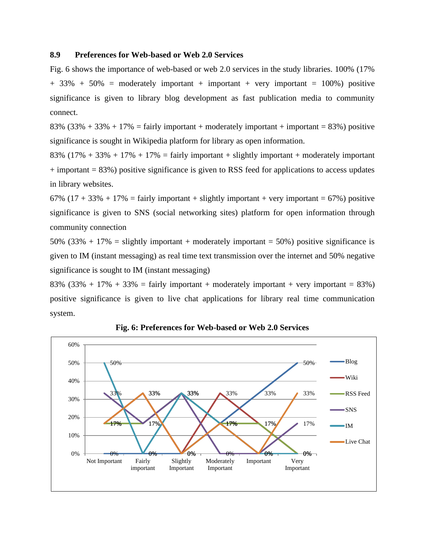#### **8.9 Preferences for Web-based or Web 2.0 Services**

Fig. 6 shows the importance of web-based or web 2.0 services in the study libraries. 100% (17%  $+ 33\% + 50\% =$  moderately important  $+$  important  $+$  very important  $= 100\%$ ) positive significance is given to library blog development as fast publication media to community connect.

83% (33% + 33% + 17% = fairly important + moderately important + important = 83%) positive significance is sought in Wikipedia platform for library as open information.

83%  $(17\% + 33\% + 17\% + 17\% = \text{fairly important} + \text{slightly important} + \text{moderately important}$ + important = 83%) positive significance is given to RSS feed for applications to access updates in library websites.

67% (17 + 33% + 17% = fairly important + slightly important + very important = 67%) positive significance is given to SNS (social networking sites) platform for open information through community connection

50% (33% + 17% = slightly important + moderately important = 50%) positive significance is given to IM (instant messaging) as real time text transmission over the internet and 50% negative significance is sought to IM (instant messaging)

83% (33% + 17% + 33% = fairly important + moderately important + very important = 83%) positive significance is given to live chat applications for library real time communication system.



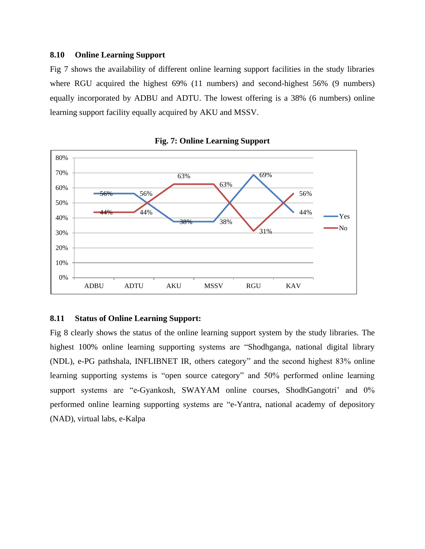#### **8.10 Online Learning Support**

Fig 7 shows the availability of different online learning support facilities in the study libraries where RGU acquired the highest 69% (11 numbers) and second-highest 56% (9 numbers) equally incorporated by ADBU and ADTU. The lowest offering is a 38% (6 numbers) online learning support facility equally acquired by AKU and MSSV.





#### **8.11 Status of Online Learning Support:**

Fig 8 clearly shows the status of the online learning support system by the study libraries. The highest 100% online learning supporting systems are "Shodhganga, national digital library (NDL), e-PG pathshala, INFLIBNET IR, others category" and the second highest 83% online learning supporting systems is "open source category" and 50% performed online learning support systems are "e-Gyankosh, SWAYAM online courses, ShodhGangotri' and 0% performed online learning supporting systems are "e-Yantra, national academy of depository (NAD), virtual labs, e-Kalpa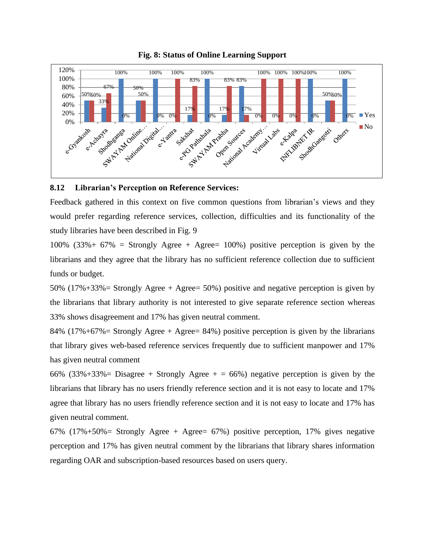

#### **Fig. 8: Status of Online Learning Support**

#### **8.12 Librarian's Perception on Reference Services:**

Feedback gathered in this context on five common questions from librarian's views and they would prefer regarding reference services, collection, difficulties and its functionality of the study libraries have been described in Fig. 9

100% (33%+ 67% = Strongly Agree + Agree= 100%) positive perception is given by the librarians and they agree that the library has no sufficient reference collection due to sufficient funds or budget.

50% (17%+33%= Strongly Agree + Agree= 50%) positive and negative perception is given by the librarians that library authority is not interested to give separate reference section whereas 33% shows disagreement and 17% has given neutral comment.

84% (17%+67%= Strongly Agree + Agree= 84%) positive perception is given by the librarians that library gives web-based reference services frequently due to sufficient manpower and 17% has given neutral comment

66% (33%+33%= Disagree + Strongly Agree  $+ = 66\%$ ) negative perception is given by the librarians that library has no users friendly reference section and it is not easy to locate and 17% agree that library has no users friendly reference section and it is not easy to locate and 17% has given neutral comment.

67% (17%+50%= Strongly Agree + Agree= 67%) positive perception, 17% gives negative perception and 17% has given neutral comment by the librarians that library shares information regarding OAR and subscription-based resources based on users query.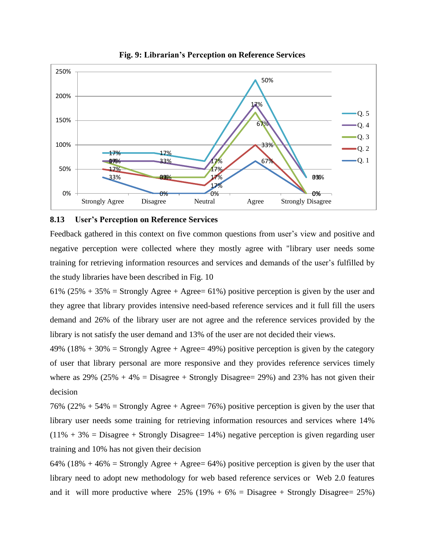

**Fig. 9: Librarian's Perception on Reference Services**

#### **8.13 User's Perception on Reference Services**

Feedback gathered in this context on five common questions from user's view and positive and negative perception were collected where they mostly agree with "library user needs some training for retrieving information resources and services and demands of the user's fulfilled by the study libraries have been described in Fig. 10

61% (25% + 35% = Strongly Agree + Agree= 61%) positive perception is given by the user and they agree that library provides intensive need-based reference services and it full fill the users demand and 26% of the library user are not agree and the reference services provided by the library is not satisfy the user demand and 13% of the user are not decided their views.

49% (18% + 30% = Strongly Agree + Agree = 49%) positive perception is given by the category of user that library personal are more responsive and they provides reference services timely where as  $29\%$  ( $25\% + 4\% =$  Disagree + Strongly Disagree = 29%) and 23% has not given their decision

76% (22% + 54% = Strongly Agree + Agree = 76%) positive perception is given by the user that library user needs some training for retrieving information resources and services where 14%  $(11\% + 3\% = \text{Disagree} + \text{Strongly Disagree} = 14\%)$  negative perception is given regarding user training and 10% has not given their decision

64% (18% + 46% = Strongly Agree + Agree = 64%) positive perception is given by the user that library need to adopt new methodology for web based reference services or Web 2.0 features and it will more productive where  $25\%$  (19% + 6% = Disagree + Strongly Disagree = 25%)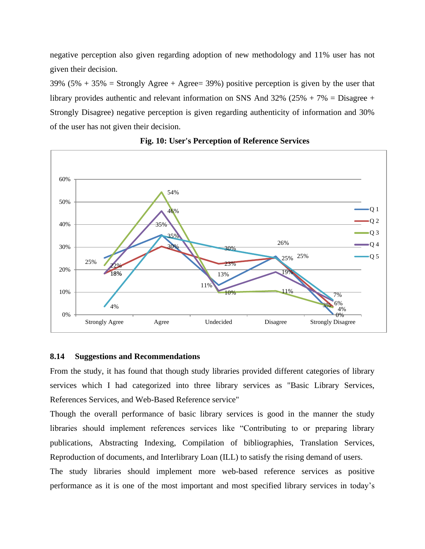negative perception also given regarding adoption of new methodology and 11% user has not given their decision.

39% (5% + 35% = Strongly Agree + Agree = 39%) positive perception is given by the user that library provides authentic and relevant information on SNS And  $32\%$  ( $25\%$  + 7\%) = Disagree + Strongly Disagree) negative perception is given regarding authenticity of information and 30% of the user has not given their decision.



### **Fig. 10: User's Perception of Reference Services**

#### **8.14 Suggestions and Recommendations**

From the study, it has found that though study libraries provided different categories of library services which I had categorized into three library services as "Basic Library Services, References Services, and Web-Based Reference service"

Though the overall performance of basic library services is good in the manner the study libraries should implement references services like "Contributing to or preparing library publications, Abstracting Indexing, Compilation of bibliographies, Translation Services, Reproduction of documents, and Interlibrary Loan (ILL) to satisfy the rising demand of users.

The study libraries should implement more web-based reference services as positive performance as it is one of the most important and most specified library services in today's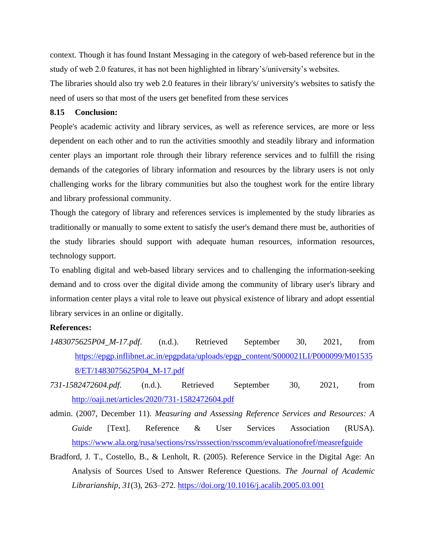context. Though it has found Instant Messaging in the category of web-based reference but in the study of web 2.0 features, it has not been highlighted in library's/university's websites.

The libraries should also try web 2.0 features in their library's/ university's websites to satisfy the need of users so that most of the users get benefited from these services

#### **8.15 Conclusion:**

People's academic activity and library services, as well as reference services, are more or less dependent on each other and to run the activities smoothly and steadily library and information center plays an important role through their library reference services and to fulfill the rising demands of the categories of library information and resources by the library users is not only challenging works for the library communities but also the toughest work for the entire library and library professional community.

Though the category of library and references services is implemented by the study libraries as traditionally or manually to some extent to satisfy the user's demand there must be, authorities of the study libraries should support with adequate human resources, information resources, technology support.

To enabling digital and web-based library services and to challenging the information-seeking demand and to cross over the digital divide among the community of library user's library and information center plays a vital role to leave out physical existence of library and adopt essential library services in an online or digitally.

#### **References:**

- *1483075625P04\_M-17.pdf*. (n.d.). Retrieved September 30, 2021, from [https://epgp.inflibnet.ac.in/epgpdata/uploads/epgp\\_content/S000021LI/P000099/M01535](https://epgp.inflibnet.ac.in/epgpdata/uploads/epgp_content/S000021LI/P000099/M015358/ET/1483075625P04_M-17.pdf) [8/ET/1483075625P04\\_M-17.pdf](https://epgp.inflibnet.ac.in/epgpdata/uploads/epgp_content/S000021LI/P000099/M015358/ET/1483075625P04_M-17.pdf)
- *731-1582472604.pdf*. (n.d.). Retrieved September 30, 2021, from <http://oaji.net/articles/2020/731-1582472604.pdf>
- admin. (2007, December 11). *Measuring and Assessing Reference Services and Resources: A Guide* [Text]. Reference & User Services Association (RUSA). <https://www.ala.org/rusa/sections/rss/rsssection/rsscomm/evaluationofref/measrefguide>
- Bradford, J. T., Costello, B., & Lenholt, R. (2005). Reference Service in the Digital Age: An Analysis of Sources Used to Answer Reference Questions. *The Journal of Academic Librarianship*, *31*(3), 263–272.<https://doi.org/10.1016/j.acalib.2005.03.001>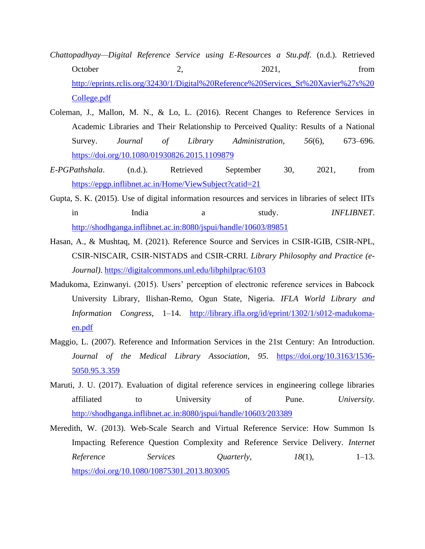- *Chattopadhyay—Digital Reference Service using E-Resources a Stu.pdf*. (n.d.). Retrieved October 2, 2021, from [http://eprints.rclis.org/32430/1/Digital%20Reference%20Services\\_St%20Xavier%27s%20](http://eprints.rclis.org/32430/1/Digital%20Reference%20Services_St%20Xavier%27s%20College.pdf) [College.pdf](http://eprints.rclis.org/32430/1/Digital%20Reference%20Services_St%20Xavier%27s%20College.pdf)
- Coleman, J., Mallon, M. N., & Lo, L. (2016). Recent Changes to Reference Services in Academic Libraries and Their Relationship to Perceived Quality: Results of a National Survey. *Journal of Library Administration*, *56*(6), 673–696. <https://doi.org/10.1080/01930826.2015.1109879>
- *E-PGPathshala*. (n.d.). Retrieved September 30, 2021, from <https://epgp.inflibnet.ac.in/Home/ViewSubject?catid=21>
- Gupta, S. K. (2015). Use of digital information resources and services in libraries of select IITs in India a study. *INFLIBNET*. <http://shodhganga.inflibnet.ac.in:8080/jspui/handle/10603/89851>
- Hasan, A., & Mushtaq, M. (2021). Reference Source and Services in CSIR-IGIB, CSIR-NPL, CSIR-NISCAIR, CSIR-NISTADS and CSIR-CRRI. *Library Philosophy and Practice (e-Journal)*.<https://digitalcommons.unl.edu/libphilprac/6103>
- Madukoma, Ezinwanyi. (2015). Users' perception of electronic reference services in Babcock University Library, Ilishan-Remo, Ogun State, Nigeria. *IFLA World Library and Information Congress*, 1–14. [http://library.ifla.org/id/eprint/1302/1/s012-madukoma](http://library.ifla.org/id/eprint/1302/1/s012-madukoma-en.pdf)[en.pdf](http://library.ifla.org/id/eprint/1302/1/s012-madukoma-en.pdf)
- Maggio, L. (2007). Reference and Information Services in the 21st Century: An Introduction. *Journal of the Medical Library Association*, *95*. [https://doi.org/10.3163/1536-](https://doi.org/10.3163/1536-5050.95.3.359) [5050.95.3.359](https://doi.org/10.3163/1536-5050.95.3.359)
- Maruti, J. U. (2017). Evaluation of digital reference services in engineering college libraries affiliated to University of Pune. *University*. <http://shodhganga.inflibnet.ac.in:8080/jspui/handle/10603/203389>
- Meredith, W. (2013). Web-Scale Search and Virtual Reference Service: How Summon Is Impacting Reference Question Complexity and Reference Service Delivery. *Internet Reference Services Quarterly*, *18(1)*, 1–13. <https://doi.org/10.1080/10875301.2013.803005>